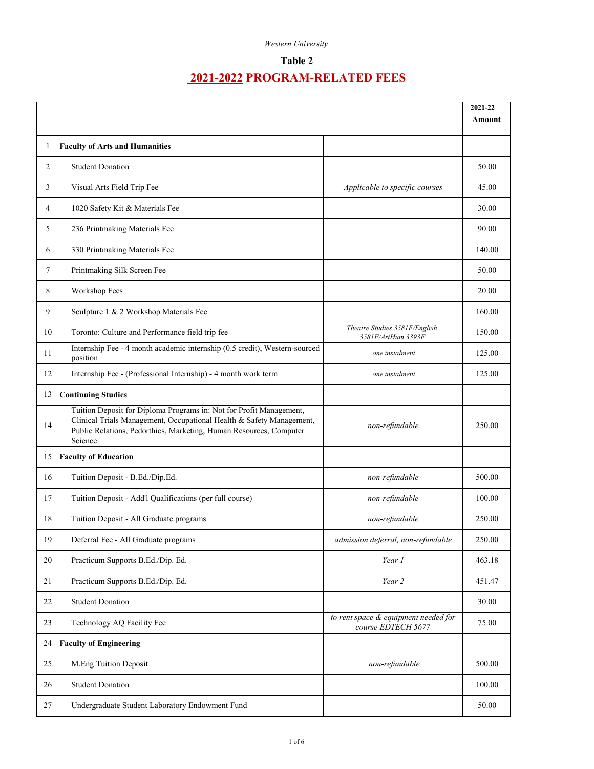## **Table 2**

|                |                                                                                                                                                                                                                              |                                                            | 2021-22<br>Amount |
|----------------|------------------------------------------------------------------------------------------------------------------------------------------------------------------------------------------------------------------------------|------------------------------------------------------------|-------------------|
| 1              | <b>Faculty of Arts and Humanities</b>                                                                                                                                                                                        |                                                            |                   |
| $\overline{2}$ | <b>Student Donation</b>                                                                                                                                                                                                      |                                                            | 50.00             |
| 3              | Visual Arts Field Trip Fee                                                                                                                                                                                                   | Applicable to specific courses                             | 45.00             |
| 4              | 1020 Safety Kit & Materials Fee                                                                                                                                                                                              |                                                            | 30.00             |
| 5              | 236 Printmaking Materials Fee                                                                                                                                                                                                |                                                            | 90.00             |
| 6              | 330 Printmaking Materials Fee                                                                                                                                                                                                |                                                            | 140.00            |
| 7              | Printmaking Silk Screen Fee                                                                                                                                                                                                  |                                                            | 50.00             |
| 8              | Workshop Fees                                                                                                                                                                                                                |                                                            | 20.00             |
| 9              | Sculpture 1 & 2 Workshop Materials Fee                                                                                                                                                                                       |                                                            | 160.00            |
| 10             | Toronto: Culture and Performance field trip fee                                                                                                                                                                              | Theatre Studies 3581F/English<br>3581F/ArtHum 3393F        | 150.00            |
| 11             | Internship Fee - 4 month academic internship (0.5 credit), Western-sourced<br>position                                                                                                                                       | one instalment                                             | 125.00            |
| 12             | Internship Fee - (Professional Internship) - 4 month work term                                                                                                                                                               | one instalment                                             | 125.00            |
| 13             | <b>Continuing Studies</b>                                                                                                                                                                                                    |                                                            |                   |
| 14             | Tuition Deposit for Diploma Programs in: Not for Profit Management,<br>Clinical Trials Management, Occupational Health & Safety Management,<br>Public Relations, Pedorthics, Marketing, Human Resources, Computer<br>Science | non-refundable                                             | 250.00            |
| 15             | <b>Faculty of Education</b>                                                                                                                                                                                                  |                                                            |                   |
| 16             | Tuition Deposit - B.Ed./Dip.Ed.                                                                                                                                                                                              | non-refundable                                             | 500.00            |
| 17             | Tuition Deposit - Add'l Qualifications (per full course)                                                                                                                                                                     | non-refundable                                             | 100.00            |
| 18             | Tuition Deposit - All Graduate programs                                                                                                                                                                                      | non-refundable                                             | 250.00            |
| 19             | Deferral Fee - All Graduate programs                                                                                                                                                                                         | admission deferral, non-refundable                         | 250.00            |
| 20             | Practicum Supports B.Ed./Dip. Ed.                                                                                                                                                                                            | Year 1                                                     | 463.18            |
| 21             | Practicum Supports B.Ed./Dip. Ed.                                                                                                                                                                                            | Year 2                                                     | 451.47            |
| 22             | <b>Student Donation</b>                                                                                                                                                                                                      |                                                            | 30.00             |
| 23             | Technology AQ Facility Fee                                                                                                                                                                                                   | to rent space & equipment needed for<br>course EDTECH 5677 | 75.00             |
| 24             | <b>Faculty of Engineering</b>                                                                                                                                                                                                |                                                            |                   |
| 25             | M.Eng Tuition Deposit                                                                                                                                                                                                        | non-refundable                                             | 500.00            |
| 26             | <b>Student Donation</b>                                                                                                                                                                                                      |                                                            | 100.00            |
| 27             | Undergraduate Student Laboratory Endowment Fund                                                                                                                                                                              |                                                            | 50.00             |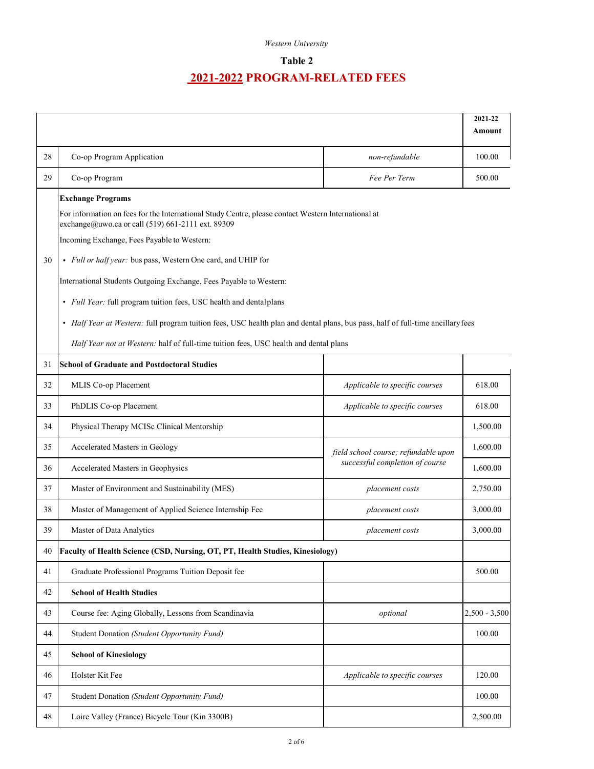### **Table 2**

|    |                                                                                                                                                                                                                                     |                                      | 2021-22<br>Amount |
|----|-------------------------------------------------------------------------------------------------------------------------------------------------------------------------------------------------------------------------------------|--------------------------------------|-------------------|
| 28 | Co-op Program Application                                                                                                                                                                                                           | non-refundable                       | 100.00            |
| 29 | Co-op Program                                                                                                                                                                                                                       | Fee Per Term                         | 500.00            |
|    | <b>Exchange Programs</b><br>For information on fees for the International Study Centre, please contact Western International at<br>exchange@uwo.ca or call (519) 661-2111 ext. 89309<br>Incoming Exchange, Fees Payable to Western: |                                      |                   |
| 30 | · Full or half year: bus pass, Western One card, and UHIP for<br>International Students Outgoing Exchange, Fees Payable to Western:<br>· Full Year: full program tuition fees, USC health and dentalplans                           |                                      |                   |
|    | • Half Year at Western: full program tuition fees, USC health plan and dental plans, bus pass, half of full-time ancillary fees<br>Half Year not at Western: half of full-time tuition fees, USC health and dental plans            |                                      |                   |
| 31 | <b>School of Graduate and Postdoctoral Studies</b>                                                                                                                                                                                  |                                      |                   |
| 32 | MLIS Co-op Placement                                                                                                                                                                                                                | Applicable to specific courses       | 618.00            |
| 33 | PhDLIS Co-op Placement                                                                                                                                                                                                              | Applicable to specific courses       | 618.00            |
| 34 | Physical Therapy MCISc Clinical Mentorship                                                                                                                                                                                          |                                      | 1,500.00          |
| 35 | Accelerated Masters in Geology                                                                                                                                                                                                      | field school course; refundable upon | 1,600.00          |
| 36 | Accelerated Masters in Geophysics                                                                                                                                                                                                   | successful completion of course      | 1,600.00          |
| 37 | Master of Environment and Sustainability (MES)                                                                                                                                                                                      | placement costs                      | 2,750.00          |
| 38 | Master of Management of Applied Science Internship Fee                                                                                                                                                                              | placement costs                      | 3,000.00          |
| 39 | Master of Data Analytics                                                                                                                                                                                                            | placement costs                      | 3,000.00          |
| 40 | Faculty of Health Science (CSD, Nursing, OT, PT, Health Studies, Kinesiology)                                                                                                                                                       |                                      |                   |
| 41 | Graduate Professional Programs Tuition Deposit fee                                                                                                                                                                                  |                                      | 500.00            |
| 42 | <b>School of Health Studies</b>                                                                                                                                                                                                     |                                      |                   |
| 43 | Course fee: Aging Globally, Lessons from Scandinavia                                                                                                                                                                                | optional                             | $2,500 - 3,500$   |
| 44 | Student Donation (Student Opportunity Fund)                                                                                                                                                                                         |                                      | 100.00            |
| 45 | <b>School of Kinesiology</b>                                                                                                                                                                                                        |                                      |                   |
| 46 | Holster Kit Fee                                                                                                                                                                                                                     | Applicable to specific courses       | 120.00            |
| 47 | Student Donation (Student Opportunity Fund)                                                                                                                                                                                         |                                      | 100.00            |
| 48 | Loire Valley (France) Bicycle Tour (Kin 3300B)                                                                                                                                                                                      |                                      | 2,500.00          |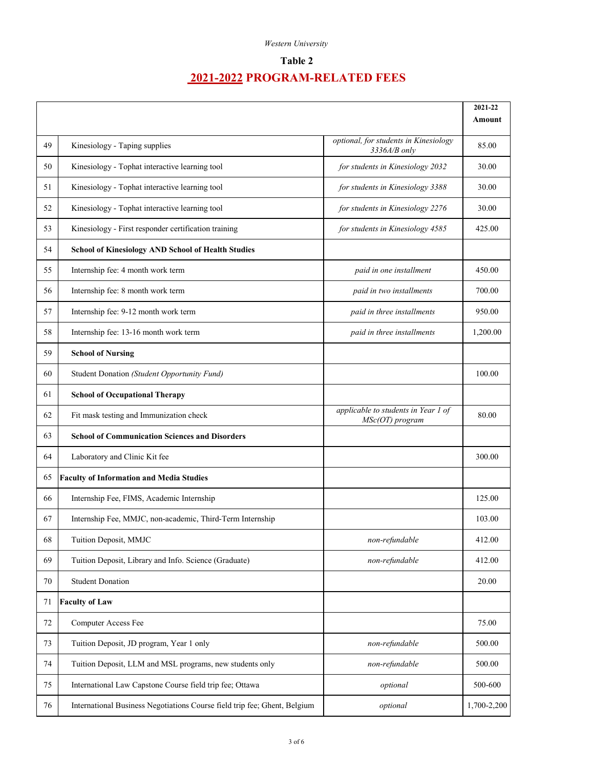## **Table 2**

|    |                                                                           |                                                         | 2021-22<br>Amount |
|----|---------------------------------------------------------------------------|---------------------------------------------------------|-------------------|
| 49 | Kinesiology - Taping supplies                                             | optional, for students in Kinesiology<br>$3336A/B$ only | 85.00             |
| 50 | Kinesiology - Tophat interactive learning tool                            | for students in Kinesiology 2032                        | 30.00             |
| 51 | Kinesiology - Tophat interactive learning tool                            | for students in Kinesiology 3388                        | 30.00             |
| 52 | Kinesiology - Tophat interactive learning tool                            | for students in Kinesiology 2276                        | 30.00             |
| 53 | Kinesiology - First responder certification training                      | for students in Kinesiology 4585                        | 425.00            |
| 54 | <b>School of Kinesiology AND School of Health Studies</b>                 |                                                         |                   |
| 55 | Internship fee: 4 month work term                                         | paid in one installment                                 | 450.00            |
| 56 | Internship fee: 8 month work term                                         | paid in two installments                                | 700.00            |
| 57 | Internship fee: 9-12 month work term                                      | paid in three installments                              | 950.00            |
| 58 | Internship fee: 13-16 month work term                                     | paid in three installments                              | 1,200.00          |
| 59 | <b>School of Nursing</b>                                                  |                                                         |                   |
| 60 | Student Donation (Student Opportunity Fund)                               |                                                         | 100.00            |
| 61 | <b>School of Occupational Therapy</b>                                     |                                                         |                   |
| 62 | Fit mask testing and Immunization check                                   | applicable to students in Year 1 of<br>MSc(OT) program  | 80.00             |
| 63 | <b>School of Communication Sciences and Disorders</b>                     |                                                         |                   |
| 64 | Laboratory and Clinic Kit fee                                             |                                                         | 300.00            |
| 65 | <b>Faculty of Information and Media Studies</b>                           |                                                         |                   |
| 66 | Internship Fee, FIMS, Academic Internship                                 |                                                         | 125.00            |
| 67 | Internship Fee, MMJC, non-academic, Third-Term Internship                 |                                                         | 103.00            |
| 68 | Tuition Deposit, MMJC                                                     | non-refundable                                          | 412.00            |
| 69 | Tuition Deposit, Library and Info. Science (Graduate)                     | non-refundable                                          | 412.00            |
| 70 | <b>Student Donation</b>                                                   |                                                         | 20.00             |
| 71 | <b>Faculty of Law</b>                                                     |                                                         |                   |
| 72 | Computer Access Fee                                                       |                                                         | 75.00             |
| 73 | Tuition Deposit, JD program, Year 1 only                                  | non-refundable                                          | 500.00            |
| 74 | Tuition Deposit, LLM and MSL programs, new students only                  | non-refundable                                          | 500.00            |
| 75 | International Law Capstone Course field trip fee; Ottawa                  | optional                                                | 500-600           |
| 76 | International Business Negotiations Course field trip fee; Ghent, Belgium | optional                                                | 1,700-2,200       |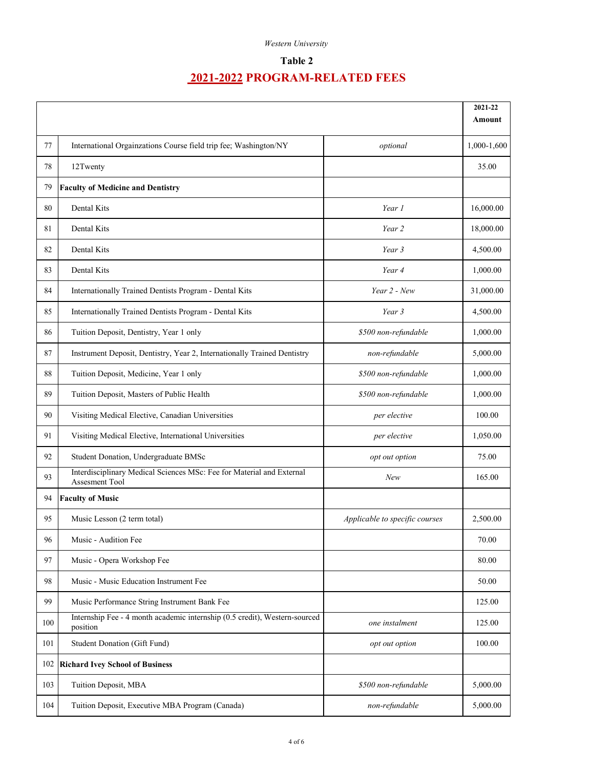### **Table 2**

|     |                                                                                         |                                | 2021-22     |
|-----|-----------------------------------------------------------------------------------------|--------------------------------|-------------|
|     |                                                                                         |                                | Amount      |
| 77  | International Orgainzations Course field trip fee; Washington/NY                        | optional                       | 1,000-1,600 |
| 78  | 12Twenty                                                                                |                                | 35.00       |
| 79  | <b>Faculty of Medicine and Dentistry</b>                                                |                                |             |
| 80  | Dental Kits                                                                             | Year 1                         | 16,000.00   |
| 81  | Dental Kits                                                                             | Year 2                         | 18,000.00   |
| 82  | Dental Kits                                                                             | Year 3                         | 4,500.00    |
| 83  | Dental Kits                                                                             | Year 4                         | 1,000.00    |
| 84  | Internationally Trained Dentists Program - Dental Kits                                  | Year 2 - New                   | 31,000.00   |
| 85  | Internationally Trained Dentists Program - Dental Kits                                  | Year 3                         | 4,500.00    |
| 86  | Tuition Deposit, Dentistry, Year 1 only                                                 | \$500 non-refundable           | 1,000.00    |
| 87  | Instrument Deposit, Dentistry, Year 2, Internationally Trained Dentistry                | non-refundable                 | 5,000.00    |
| 88  | Tuition Deposit, Medicine, Year 1 only                                                  | \$500 non-refundable           | 1,000.00    |
| 89  | Tuition Deposit, Masters of Public Health                                               | \$500 non-refundable           | 1,000.00    |
| 90  | Visiting Medical Elective, Canadian Universities                                        | per elective                   | 100.00      |
| 91  | Visiting Medical Elective, International Universities                                   | per elective                   | 1,050.00    |
| 92  | Student Donation, Undergraduate BMSc                                                    | opt out option                 | 75.00       |
| 93  | Interdisciplinary Medical Sciences MSc: Fee for Material and External<br>Assesment Tool | New                            | 165.00      |
| 94  | <b>Faculty of Music</b>                                                                 |                                |             |
| 95  | Music Lesson (2 term total)                                                             | Applicable to specific courses | 2,500.00    |
| 96  | Music - Audition Fee                                                                    |                                | 70.00       |
| 97  | Music - Opera Workshop Fee                                                              |                                | 80.00       |
| 98  | Music - Music Education Instrument Fee                                                  |                                | 50.00       |
| 99  | Music Performance String Instrument Bank Fee                                            |                                | 125.00      |
| 100 | Internship Fee - 4 month academic internship (0.5 credit), Western-sourced<br>position  | one instalment                 | 125.00      |
| 101 | Student Donation (Gift Fund)                                                            | opt out option                 | 100.00      |
| 102 | <b>Richard Ivey School of Business</b>                                                  |                                |             |
| 103 | Tuition Deposit, MBA                                                                    | \$500 non-refundable           | 5,000.00    |
| 104 | Tuition Deposit, Executive MBA Program (Canada)                                         | non-refundable                 | 5,000.00    |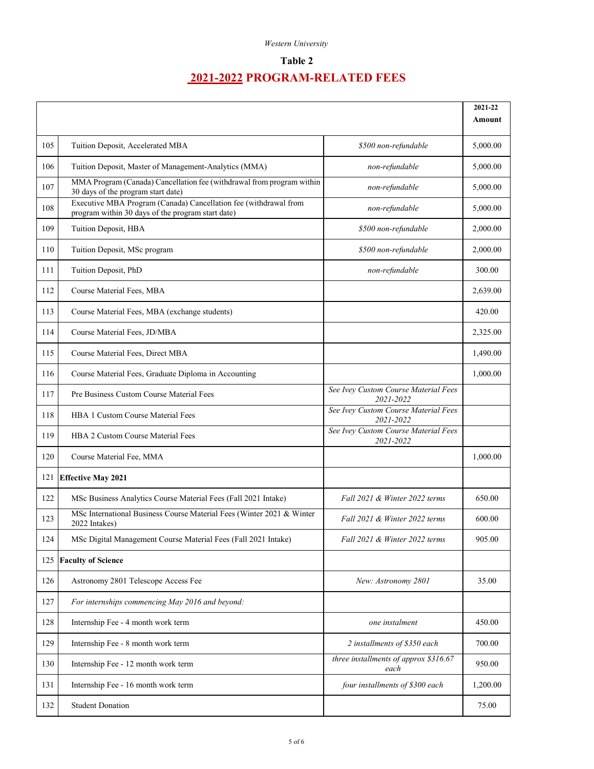### **Table 2**

|     |                                                                                                                       |                                                   | 2021-22<br><b>Amount</b> |
|-----|-----------------------------------------------------------------------------------------------------------------------|---------------------------------------------------|--------------------------|
|     |                                                                                                                       |                                                   |                          |
| 105 | Tuition Deposit, Accelerated MBA                                                                                      | \$500 non-refundable                              | 5,000.00                 |
| 106 | Tuition Deposit, Master of Management-Analytics (MMA)                                                                 | non-refundable                                    | 5,000.00                 |
| 107 | MMA Program (Canada) Cancellation fee (withdrawal from program within<br>30 days of the program start date)           | non-refundable                                    | 5,000.00                 |
| 108 | Executive MBA Program (Canada) Cancellation fee (withdrawal from<br>program within 30 days of the program start date) | non-refundable                                    | 5,000.00                 |
| 109 | Tuition Deposit, HBA                                                                                                  | \$500 non-refundable                              | 2,000.00                 |
| 110 | Tuition Deposit, MSc program                                                                                          | \$500 non-refundable                              | 2,000.00                 |
| 111 | Tuition Deposit, PhD                                                                                                  | non-refundable                                    | 300.00                   |
| 112 | Course Material Fees, MBA                                                                                             |                                                   | 2,639.00                 |
| 113 | Course Material Fees, MBA (exchange students)                                                                         |                                                   | 420.00                   |
| 114 | Course Material Fees, JD/MBA                                                                                          |                                                   | 2,325.00                 |
| 115 | Course Material Fees, Direct MBA                                                                                      |                                                   | 1,490.00                 |
| 116 | Course Material Fees, Graduate Diploma in Accounting                                                                  |                                                   | 1,000.00                 |
| 117 | Pre Business Custom Course Material Fees                                                                              | See Ivey Custom Course Material Fees<br>2021-2022 |                          |
| 118 | <b>HBA 1 Custom Course Material Fees</b>                                                                              | See Ivey Custom Course Material Fees<br>2021-2022 |                          |
| 119 | HBA 2 Custom Course Material Fees                                                                                     | See Ivey Custom Course Material Fees<br>2021-2022 |                          |
| 120 | Course Material Fee, MMA                                                                                              |                                                   | 1,000.00                 |
| 121 | <b>Effective May 2021</b>                                                                                             |                                                   |                          |
| 122 | MSc Business Analytics Course Material Fees (Fall 2021 Intake)                                                        | Fall 2021 & Winter 2022 terms                     | 650.00                   |
| 123 | MSc International Business Course Material Fees (Winter 2021 & Winter<br>2022 Intakes)                                | Fall 2021 & Winter 2022 terms                     | 600.00                   |
| 124 | MSc Digital Management Course Material Fees (Fall 2021 Intake)                                                        | Fall 2021 & Winter 2022 terms                     | 905.00                   |
| 125 | <b>Faculty of Science</b>                                                                                             |                                                   |                          |
| 126 | Astronomy 2801 Telescope Access Fee                                                                                   | New: Astronomy 2801                               | 35.00                    |
| 127 | For internships commencing May 2016 and beyond:                                                                       |                                                   |                          |
| 128 | Internship Fee - 4 month work term                                                                                    | one instalment                                    | 450.00                   |
| 129 | Internship Fee - 8 month work term                                                                                    | 2 installments of \$350 each                      | 700.00                   |
| 130 | Internship Fee - 12 month work term                                                                                   | three installments of approx \$316.67<br>each     | 950.00                   |
| 131 | Internship Fee - 16 month work term                                                                                   | four installments of \$300 each                   | 1,200.00                 |
| 132 | <b>Student Donation</b>                                                                                               |                                                   | 75.00                    |